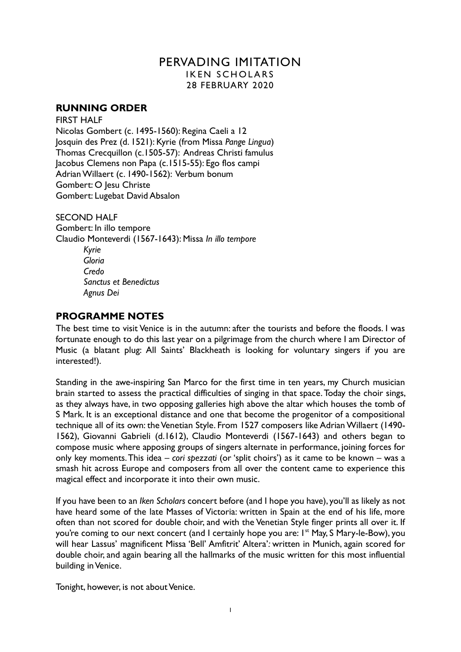# PERVADING IMITATION IKEN SCHOLARS 28 FEBRUARY 2020

## **RUNNING ORDER**

FIRST HALF Nicolas Gombert (c. 1495-1560): Regina Caeli a 12 Josquin des Prez (d. 1521): Kyrie (from Missa *Pange Lingua*) Thomas Crecquillon (c.1505-57): Andreas Christi famulus Jacobus Clemens non Papa (c.1515-55): Ego flos campi Adrian Willaert (c. 1490-1562): Verbum bonum Gombert: O Jesu Christe Gombert: Lugebat David Absalon

SECOND HALF Gombert: In illo tempore Claudio Monteverdi (1567-1643): Missa *In illo tempore Kyrie Gloria Credo Sanctus et Benedictus Agnus Dei*

## **PROGRAMME NOTES**

The best time to visit Venice is in the autumn: after the tourists and before the floods. I was fortunate enough to do this last year on a pilgrimage from the church where I am Director of Music (a blatant plug: All Saints' Blackheath is looking for voluntary singers if you are interested!).

Standing in the awe-inspiring San Marco for the first time in ten years, my Church musician brain started to assess the practical difficulties of singing in that space. Today the choir sings, as they always have, in two opposing galleries high above the altar which houses the tomb of S Mark. It is an exceptional distance and one that become the progenitor of a compositional technique all of its own: the Venetian Style. From 1527 composers like Adrian Willaert (1490- 1562), Giovanni Gabrieli (d.1612), Claudio Monteverdi (1567-1643) and others began to compose music where apposing groups of singers alternate in performance, joining forces for only key moments. This idea – *cori spezzati* (or 'split choirs') as it came to be known – was a smash hit across Europe and composers from all over the content came to experience this magical effect and incorporate it into their own music.

If you have been to an *Iken Scholars* concert before (and I hope you have), you'll as likely as not have heard some of the late Masses of Victoria: written in Spain at the end of his life, more often than not scored for double choir, and with the Venetian Style finger prints all over it. If you're coming to our next concert (and I certainly hope you are: I<sup>st</sup> May, S Mary-le-Bow), you will hear Lassus' magnificent Missa 'Bell' Amfitrit' Altera'*:* written in Munich, again scored for double choir, and again bearing all the hallmarks of the music written for this most influential building in Venice.

Tonight, however, is not about Venice.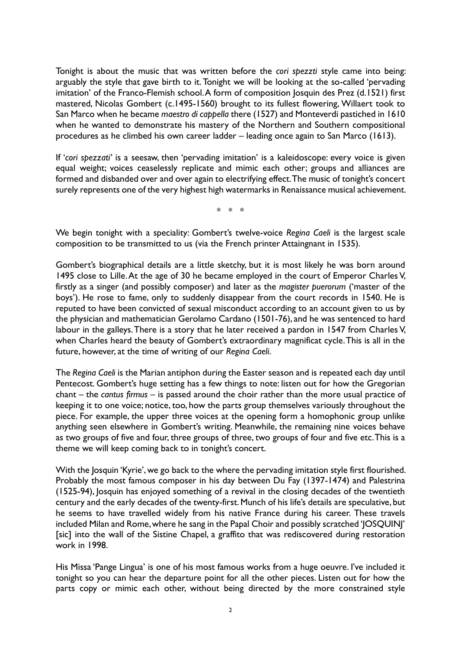Tonight is about the music that was written before the *cori spezzti* style came into being: arguably the style that gave birth to it. Tonight we will be looking at the so-called 'pervading imitation' of the Franco-Flemish school. A form of composition losquin des Prez (d.1521) first mastered, Nicolas Gombert (c.1495-1560) brought to its fullest flowering, Willaert took to San Marco when he became *maestro di cappella* there (1527) and Monteverdi pastiched in 1610 when he wanted to demonstrate his mastery of the Northern and Southern compositional procedures as he climbed his own career ladder – leading once again to San Marco (1613).

If '*cori spezzati'* is a seesaw, then 'pervading imitation' is a kaleidoscope: every voice is given equal weight; voices ceaselessly replicate and mimic each other; groups and alliances are formed and disbanded over and over again to electrifying effect. The music of tonight's concert surely represents one of the very highest high watermarks in Renaissance musical achievement.

\* \* \*

We begin tonight with a speciality: Gombert's twelve-voice *Regina Caeli* is the largest scale composition to be transmitted to us (via the French printer Attaingnant in 1535).

Gombert's biographical details are a little sketchy, but it is most likely he was born around 1495 close to Lille. At the age of 30 he became employed in the court of Emperor Charles V, firstly as a singer (and possibly composer) and later as the *magister puerorum* ('master of the boys'). He rose to fame, only to suddenly disappear from the court records in 1540. He is reputed to have been convicted of sexual misconduct according to an account given to us by the physician and mathematician Gerolamo Cardano (1501-76), and he was sentenced to hard labour in the galleys. There is a story that he later received a pardon in 1547 from Charles V, when Charles heard the beauty of Gombert's extraordinary magnificat cycle. This is all in the future, however, at the time of writing of our *Regina Caeli*.

The *Regina Caeli* is the Marian antiphon during the Easter season and is repeated each day until Pentecost. Gombert's huge setting has a few things to note: listen out for how the Gregorian chant – the *cantus firmus* – is passed around the choir rather than the more usual practice of keeping it to one voice; notice, too, how the parts group themselves variously throughout the piece. For example, the upper three voices at the opening form a homophonic group unlike anything seen elsewhere in Gombert's writing. Meanwhile, the remaining nine voices behave as two groups of five and four, three groups of three, two groups of four and five etc. This is a theme we will keep coming back to in tonight's concert.

With the Josquin 'Kyrie', we go back to the where the pervading imitation style first flourished. Probably the most famous composer in his day between Du Fay (1397-1474) and Palestrina (1525-94), Josquin has enjoyed something of a revival in the closing decades of the twentieth century and the early decades of the twenty-first. Munch of his life's details are speculative, but he seems to have travelled widely from his native France during his career. These travels included Milan and Rome, where he sang in the Papal Choir and possibly scratched 'JOSQUINJ' [sic] into the wall of the Sistine Chapel, a graffito that was rediscovered during restoration work in 1998.

His Missa 'Pange Lingua' is one of his most famous works from a huge oeuvre. I've included it tonight so you can hear the departure point for all the other pieces. Listen out for how the parts copy or mimic each other, without being directed by the more constrained style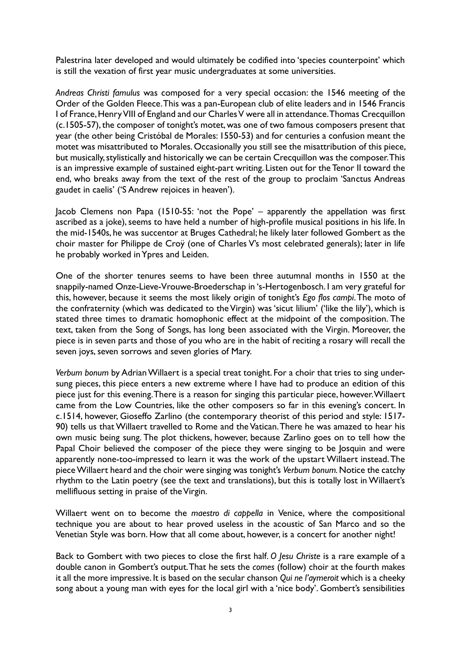Palestrina later developed and would ultimately be codified into 'species counterpoint' which is still the vexation of first year music undergraduates at some universities.

*Andreas Christi famulus* was composed for a very special occasion: the 1546 meeting of the Order of the Golden Fleece. This was a pan-European club of elite leaders and in 1546 Francis I of France, Henry VIII of England and our Charles V were all in attendance. Thomas Crecquillon (c.1505-57), the composer of tonight's motet, was one of two famous composers present that year (the other being Cristóbal de Morales: 1550-53) and for centuries a confusion meant the motet was misattributed to Morales. Occasionally you still see the misattribution of this piece, but musically, stylistically and historically we can be certain Crecquillon was the composer. This is an impressive example of sustained eight-part writing. Listen out for the Tenor II toward the end, who breaks away from the text of the rest of the group to proclaim 'Sanctus Andreas gaudet in caelis' ('S Andrew rejoices in heaven').

Jacob Clemens non Papa (1510-55: 'not the Pope' – apparently the appellation was first ascribed as a joke), seems to have held a number of high-profile musical positions in his life. In the mid-1540s, he was succentor at Bruges Cathedral; he likely later followed Gombert as the choir master for Philippe de Croÿ (one of Charles V's most celebrated generals); later in life he probably worked in Ypres and Leiden.

One of the shorter tenures seems to have been three autumnal months in 1550 at the snappily-named Onze-Lieve-Vrouwe-Broederschap in 's-Hertogenbosch. I am very grateful for this, however, because it seems the most likely origin of tonight's *Ego flos campi*. The moto of the confraternity (which was dedicated to the Virgin) was 'sicut lilium' ('like the lily'), which is stated three times to dramatic homophonic effect at the midpoint of the composition. The text, taken from the Song of Songs, has long been associated with the Virgin. Moreover, the piece is in seven parts and those of you who are in the habit of reciting a rosary will recall the seven joys, seven sorrows and seven glories of Mary.

*Verbum bonum* by Adrian Willaert is a special treat tonight. For a choir that tries to sing undersung pieces, this piece enters a new extreme where I have had to produce an edition of this piece just for this evening. There is a reason for singing this particular piece, however. Willaert came from the Low Countries, like the other composers so far in this evening's concert. In c.1514, however, Gioseffo Zarlino (the contemporary theorist of this period and style: 1517- 90) tells us that Willaert travelled to Rome and the Vatican. There he was amazed to hear his own music being sung. The plot thickens, however, because Zarlino goes on to tell how the Papal Choir believed the composer of the piece they were singing to be Josquin and were apparently none-too-impressed to learn it was the work of the upstart Willaert instead. The piece Willaert heard and the choir were singing was tonight's *Verbum bonum.* Notice the catchy rhythm to the Latin poetry (see the text and translations), but this is totally lost in Willaert's mellifluous setting in praise of the Virgin.

Willaert went on to become the *maestro di cappella* in Venice, where the compositional technique you are about to hear proved useless in the acoustic of San Marco and so the Venetian Style was born. How that all come about, however, is a concert for another night!

Back to Gombert with two pieces to close the first half. *O Jesu Christe* is a rare example of a double canon in Gombert's output. That he sets the *comes* (follow) choir at the fourth makes it all the more impressive. It is based on the secular chanson *Qui ne l'aymeroit* which is a cheeky song about a young man with eyes for the local girl with a 'nice body'. Gombert's sensibilities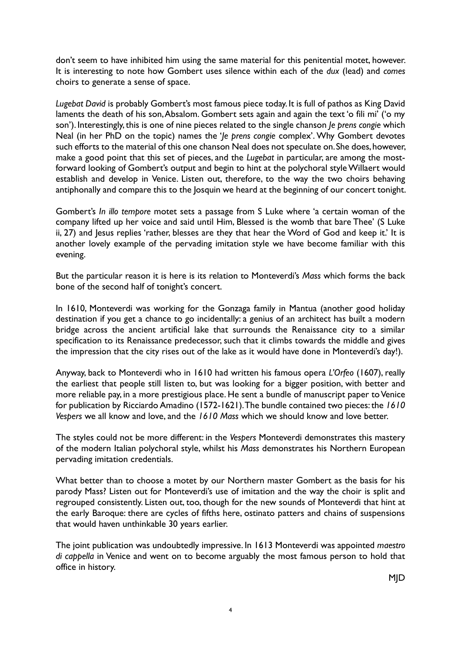don't seem to have inhibited him using the same material for this penitential motet, however. It is interesting to note how Gombert uses silence within each of the *dux* (lead) and *comes* choirs to generate a sense of space.

*Lugebat David* is probably Gombert's most famous piece today. It is full of pathos as King David laments the death of his son, Absalom. Gombert sets again and again the text 'o fili mi' ('o my son'). Interestingly, this is one of nine pieces related to the single chanson *Je prens congie* which Neal (in her PhD on the topic) names the '*Je prens congie* complex'. Why Gombert devotes such efforts to the material of this one chanson Neal does not speculate on. She does, however, make a good point that this set of pieces, and the *Lugebat* in particular, are among the mostforward looking of Gombert's output and begin to hint at the polychoral style Willaert would establish and develop in Venice. Listen out, therefore, to the way the two choirs behaving antiphonally and compare this to the Josquin we heard at the beginning of our concert tonight.

Gombert's *In illo tempore* motet sets a passage from S Luke where 'a certain woman of the company lifted up her voice and said until Him, Blessed is the womb that bare Thee' (S Luke ii, 27) and Jesus replies 'rather, blesses are they that hear the Word of God and keep it.' It is another lovely example of the pervading imitation style we have become familiar with this evening.

But the particular reason it is here is its relation to Monteverdi's *Mass* which forms the back bone of the second half of tonight's concert.

In 1610, Monteverdi was working for the Gonzaga family in Mantua (another good holiday destination if you get a chance to go incidentally: a genius of an architect has built a modern bridge across the ancient artificial lake that surrounds the Renaissance city to a similar specification to its Renaissance predecessor, such that it climbs towards the middle and gives the impression that the city rises out of the lake as it would have done in Monteverdi's day!).

Anyway, back to Monteverdi who in 1610 had written his famous opera *L'Orfeo* (1607), really the earliest that people still listen to, but was looking for a bigger position, with better and more reliable pay, in a more prestigious place. He sent a bundle of manuscript paper to Venice for publication by Ricciardo Amadino (1572-1621). The bundle contained two pieces: the *1610 Vespers* we all know and love, and the *1610 Mass* which we should know and love better.

The styles could not be more different: in the *Vespers* Monteverdi demonstrates this mastery of the modern Italian polychoral style, whilst his *Mass* demonstrates his Northern European pervading imitation credentials.

What better than to choose a motet by our Northern master Gombert as the basis for his parody Mass? Listen out for Monteverdi's use of imitation and the way the choir is split and regrouped consistently. Listen out, too, though for the new sounds of Monteverdi that hint at the early Baroque: there are cycles of fifths here, ostinato patters and chains of suspensions that would haven unthinkable 30 years earlier.

The joint publication was undoubtedly impressive. In 1613 Monteverdi was appointed *maestro di cappella* in Venice and went on to become arguably the most famous person to hold that office in history.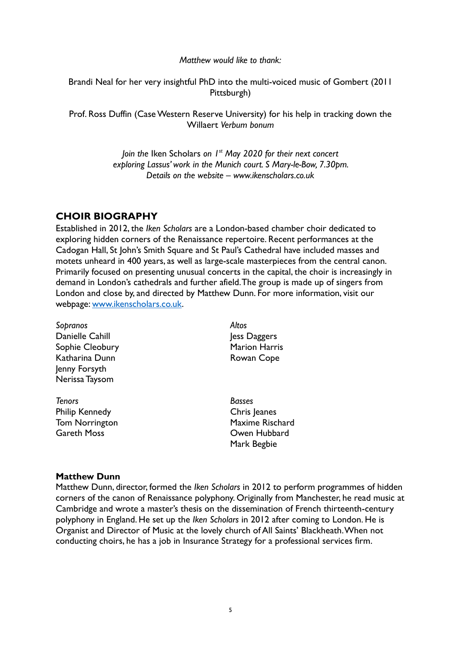### *Matthew would like to thank:*

Brandi Neal for her very insightful PhD into the multi-voiced music of Gombert (2011 Pittsburgh)

Prof. Ross Duffin (Case Western Reserve University) for his help in tracking down the Willaert *Verbum bonum*

> *Join the* Iken Scholars *on 1st May 2020 for their next concert exploring Lassus' work in the Munich court. S Mary-le-Bow, 7.30pm. Details on the website – www.ikenscholars.co.uk*

# **CHOIR BIOGRAPHY**

Established in 2012, the *Iken Scholars* are a London-based chamber choir dedicated to exploring hidden corners of the Renaissance repertoire. Recent performances at the Cadogan Hall, St John's Smith Square and St Paul's Cathedral have included masses and motets unheard in 400 years, as well as large-scale masterpieces from the central canon. Primarily focused on presenting unusual concerts in the capital, the choir is increasingly in demand in London's cathedrals and further afield. The group is made up of singers from London and close by, and directed by Matthew Dunn. For more information, visit our webpage: [www.ikenscholars.co.uk.](http://www.ikenscholars.co.uk/)

| Sopranos              | Altos                  |
|-----------------------|------------------------|
| Danielle Cahill       | less Daggers           |
| Sophie Cleobury       | <b>Marion Harris</b>   |
| Katharina Dunn        | Rowan Cope             |
| Jenny Forsyth         |                        |
| Nerissa Taysom        |                        |
| <b>Tenors</b>         | Basses                 |
| <b>Philip Kennedy</b> | Chris Jeanes           |
| Tom Norrington        | <b>Maxime Rischard</b> |
| <b>Gareth Moss</b>    | Owen Hubbard           |
|                       | Mark Begbie            |
|                       |                        |

### **Matthew Dunn**

Matthew Dunn, director, formed the *Iken Scholars* in 2012 to perform programmes of hidden corners of the canon of Renaissance polyphony. Originally from Manchester, he read music at Cambridge and wrote a master's thesis on the dissemination of French thirteenth-century polyphony in England. He set up the *Iken Scholars* in 2012 after coming to London. He is Organist and Director of Music at the lovely church of All Saints' Blackheath.When not conducting choirs, he has a job in Insurance Strategy for a professional services firm.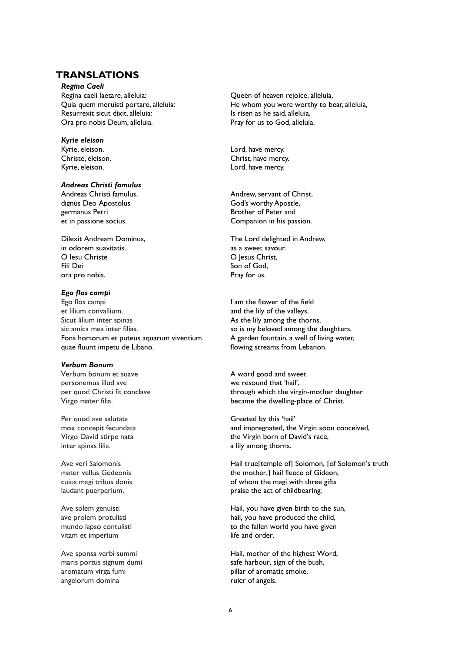## **TRANSLATIONS**

*Regina Caeli*

Regina caeli laetare, alleluia: Quia quem meruisti portare, alleluia: Resurrexit sicut dixit, alleluia: Ora pro nobis Deum, alleluia.

*Kyrie eleison* Kyrie, eleison. Christe, eleison. Kyrie, eleison.

#### *Andreas Christi famulus*

Andreas Christi famulus, dignus Deo Apostolus germanus Petri et in passione socius.

Dilexit Andream Dominus, in odorem suavitatis. O Iesu Christe Fili Dei ora pro nobis.

#### *Ego flos campi*

Ego flos campi et lilium convallium. Sicut lilium inter spinas sic amica mea inter filias. Fons hortorum et puteus aquarum viventium quae fluunt impetu de Libano.

#### *Verbum Bonum*

Verbum bonum et suave personemus illud ave per quod Christi fit conclave Virgo mater filia.

Per quod ave salutata mox concepit fecundata Virgo David stirpe nata inter spinas lilia.

Ave veri Salomonis mater vellus Gedeonis cuius magi tribus donis laudant puerperium.

Ave solem genuisti ave prolem protulisti mundo lapso contulisti vitam et imperium

Ave sponsa verbi summi maris portus signum dumi aromatum virga fumi angelorum domina

Queen of heaven rejoice, alleluia, He whom you were worthy to bear, alleluia, Is risen as he said, alleluia, Pray for us to God, alleluia.

Lord, have mercy. Christ, have mercy. Lord, have mercy.

Andrew, servant of Christ, God's worthy Apostle, Brother of Peter and Companion in his passion.

The Lord delighted in Andrew, as a sweet savour. O Jesus Christ, Son of God, Pray for us.

I am the flower of the field and the lily of the valleys. As the lily among the thorns, so is my beloved among the daughters. A garden fountain, a well of living water, flowing streams from Lebanon.

A word good and sweet we resound that 'hail', through which the virgin-mother daughter became the dwelling-place of Christ.

Greeted by this 'hail' and impregnated, the Virgin soon conceived, the Virgin born of David's race, a lily among thorns.

Hail true<sup>[temple of]</sup> Solomon, [of Solomon's truth] the mother,] hail fleece of Gideon, of whom the magi with three gifts praise the act of childbearing.

Hail, you have given birth to the sun, hail, you have produced the child, to the fallen world you have given life and order.

Hail, mother of the highest Word, safe harbour, sign of the bush, pillar of aromatic smoke, ruler of angels.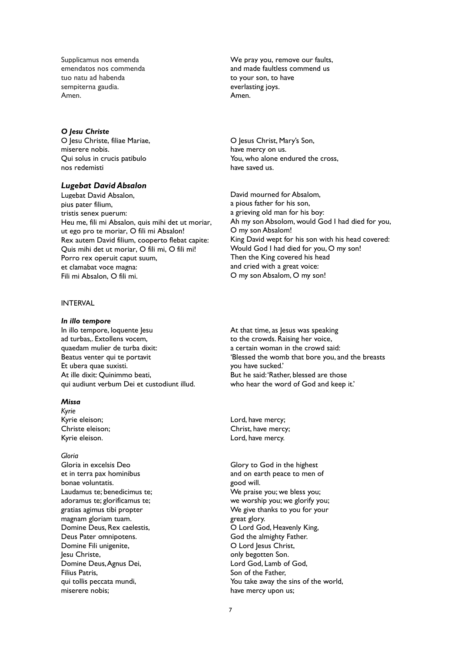Supplicamus nos emenda emendatos nos commenda tuo natu ad habenda sempiterna gaudia. Amen.

#### *O Jesu Christe*

O Jesu Christe, filiae Mariae, miserere nobis. Qui solus in crucis patibulo nos redemisti

#### *Lugebat David Absalon*

Lugebat David Absalon, pius pater filium, tristis senex puerum: Heu me, fili mi Absalon, quis mihi det ut moriar, ut ego pro te moriar, O fili mi Absalon! Rex autem David filium, cooperto flebat capite: Quis mihi det ut moriar, O fili mi, O fili mi! Porro rex operuit caput suum, et clamabat voce magna: Fili mi Absalon, O fili mi.

### INTERVAL

#### *In illo tempore*

In illo tempore, loquente Jesu ad turbas,. Extollens vocem, quaedam mulier de turba dixit: Beatus venter qui te portavit Et ubera quae suxisti. At ille dixit: Quinimmo beati, qui audiunt verbum Dei et custodiunt illud.

#### *Missa*

*Kyrie*  Kyrie eleison; Christe eleison; Kyrie eleison.

#### *Gloria*

Gloria in excelsis Deo et in terra pax hominibus bonae voluntatis. Laudamus te; benedicimus te; adoramus te; glorificamus te; gratias agimus tibi propter magnam gloriam tuam. Domine Deus, Rex caelestis, Deus Pater omnipotens. Domine Fili unigenite, Jesu Christe, Domine Deus, Agnus Dei, Filius Patris, qui tollis peccata mundi, miserere nobis;

We pray you, remove our faults, and made faultless commend us to your son, to have everlasting joys. Amen.

O Jesus Christ, Mary's Son, have mercy on us. You, who alone endured the cross, have saved us.

David mourned for Absalom, a pious father for his son, a grieving old man for his boy: Ah my son Absolom, would God I had died for you, O my son Absalom! King David wept for his son with his head covered: Would God I had died for you, O my son! Then the King covered his head and cried with a great voice: O my son Absalom, O my son!

At that time, as Jesus was speaking to the crowds. Raising her voice, a certain woman in the crowd said: 'Blessed the womb that bore you, and the breasts you have sucked.' But he said:'Rather, blessed are those who hear the word of God and keep it.'

Lord, have mercy; Christ, have mercy; Lord, have mercy.

Glory to God in the highest and on earth peace to men of good will. We praise you; we bless you; we worship you; we glorify you; We give thanks to you for your great glory. O Lord God, Heavenly King, God the almighty Father. O Lord Jesus Christ, only begotten Son. Lord God, Lamb of God, Son of the Father, You take away the sins of the world, have mercy upon us;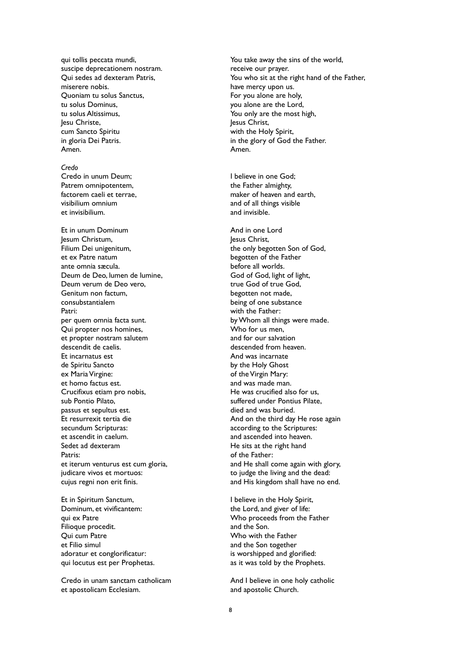qui tollis peccata mundi, suscipe deprecationem nostram. Qui sedes ad dexteram Patris, miserere nobis. Quoniam tu solus Sanctus, tu solus Dominus, tu solus Altissimus, lesu Christe. cum Sancto Spiritu in gloria Dei Patris. Amen.

#### *Credo*

Credo in unum Deum; Patrem omnipotentem, factorem caeli et terrae, visibilium omnium et invisibilium.

Et in unum Dominum Jesum Christum, Filium Dei unigenitum, et ex Patre natum ante omnia sæcula. Deum de Deo, lumen de lumine, Deum verum de Deo vero, Genitum non factum, consubstantialem Patri: per quem omnia facta sunt. Qui propter nos homines, et propter nostram salutem descendit de caelis. Et incarnatus est de Spiritu Sancto ex Maria Virgine: et homo factus est. Crucifixus etiam pro nobis, sub Pontio Pilato, passus et sepultus est. Et resurrexit tertia die secundum Scripturas: et ascendit in caelum. Sedet ad dexteram Patris: et iterum venturus est cum gloria, judicare vivos et mortuos: cujus regni non erit finis.

Et in Spiritum Sanctum, Dominum, et vivificantem: qui ex Patre Filioque procedit. Qui cum Patre et Filio simul adoratur et conglorificatur: qui locutus est per Prophetas.

Credo in unam sanctam catholicam et apostolicam Ecclesiam.

You take away the sins of the world, receive our prayer. You who sit at the right hand of the Father, have mercy upon us. For you alone are holy, you alone are the Lord, You only are the most high, lesus Christ. with the Holy Spirit, in the glory of God the Father. Amen.

I believe in one God; the Father almighty, maker of heaven and earth, and of all things visible and invisible.

And in one Lord Jesus Christ, the only begotten Son of God, begotten of the Father before all worlds. God of God, light of light, true God of true God, begotten not made, being of one substance with the Father: by Whom all things were made. Who for us men. and for our salvation descended from heaven. And was incarnate by the Holy Ghost of the Virgin Mary: and was made man. He was crucified also for us, suffered under Pontius Pilate, died and was buried. And on the third day He rose again according to the Scriptures: and ascended into heaven. He sits at the right hand of the Father: and He shall come again with glory, to judge the living and the dead: and His kingdom shall have no end.

I believe in the Holy Spirit, the Lord, and giver of life: Who proceeds from the Father and the Son. Who with the Father and the Son together is worshipped and glorified: as it was told by the Prophets.

And I believe in one holy catholic and apostolic Church.